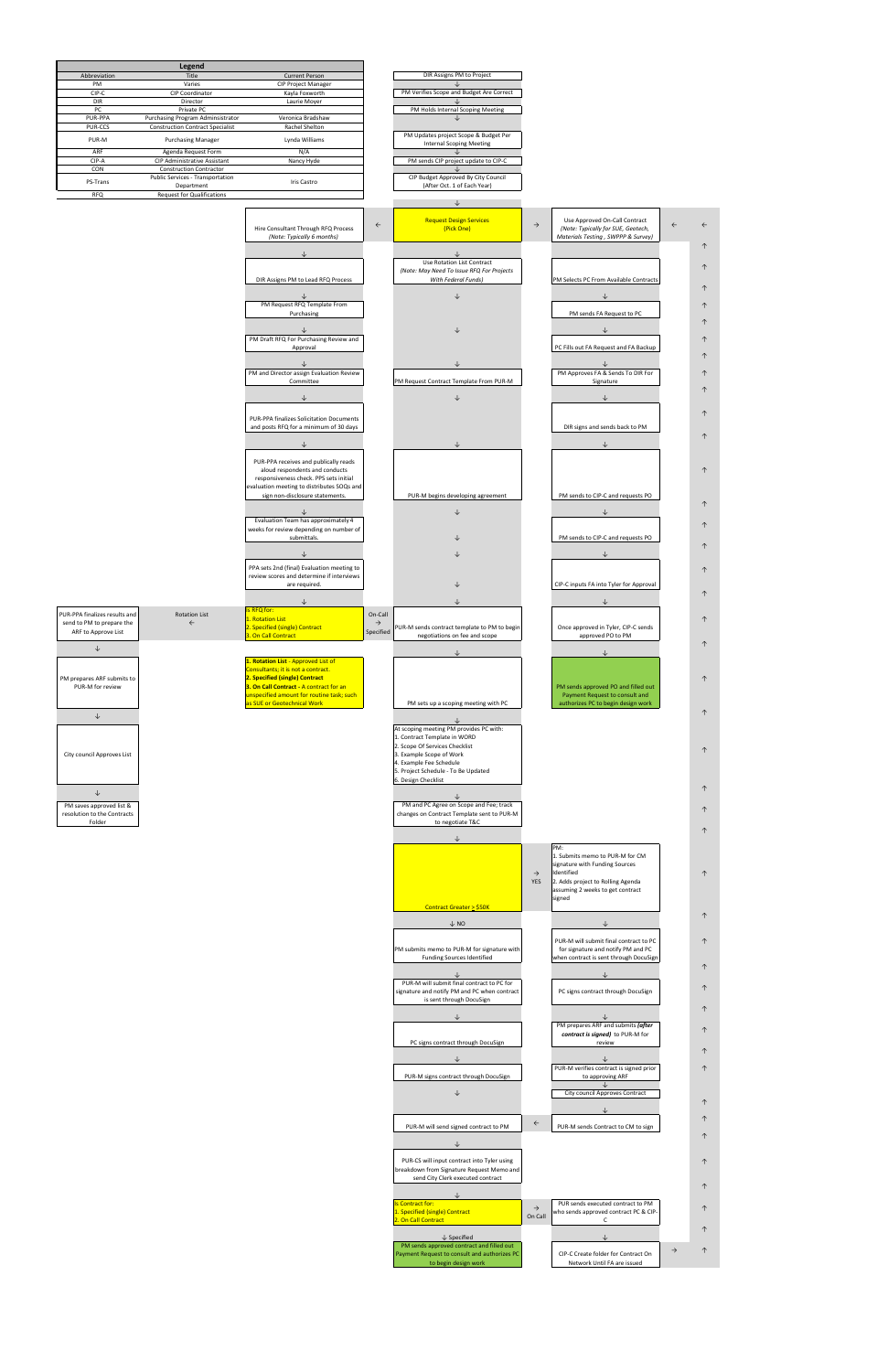

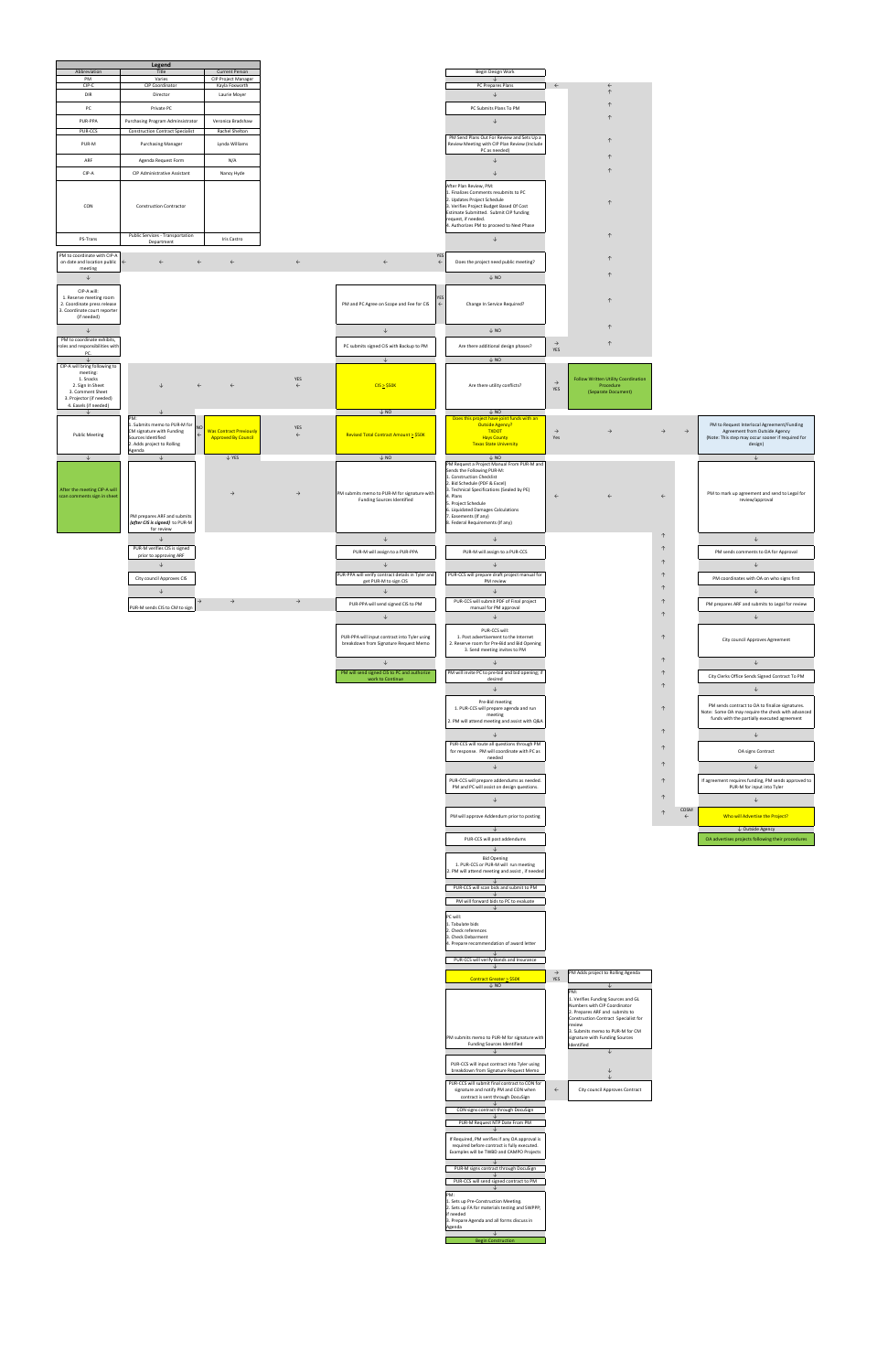|                                                                    | Legend                                                          |                                              |                     |                                                                                  |                                                                                            |                              |                                            |               |                      |                                                                                                  |
|--------------------------------------------------------------------|-----------------------------------------------------------------|----------------------------------------------|---------------------|----------------------------------------------------------------------------------|--------------------------------------------------------------------------------------------|------------------------------|--------------------------------------------|---------------|----------------------|--------------------------------------------------------------------------------------------------|
| Abbreviation<br>PM                                                 | Title<br>Varies                                                 | <b>Current Person</b><br>CIP Project Manager |                     |                                                                                  | Begin Design Work                                                                          |                              |                                            |               |                      |                                                                                                  |
| CIP-C<br>DIR                                                       | CIP Coordinator<br>Director                                     | Kayla Foxworth<br>Laurie Moyer               |                     |                                                                                  | PC Prepares Plans<br>$\downarrow$                                                          | $\leftarrow$                 | $\leftarrow$<br>↑                          |               |                      |                                                                                                  |
| PC                                                                 | Private PC                                                      |                                              |                     |                                                                                  | PC Submits Plans To PM                                                                     |                              |                                            |               |                      |                                                                                                  |
| PUR-PPA                                                            | Purchasing Program Adminsistrator                               | Veronica Bradshaw                            |                     |                                                                                  | $\downarrow$                                                                               |                              |                                            |               |                      |                                                                                                  |
| PUR-CCS                                                            | <b>Construction Contract Specialist</b>                         | Rachel Shelton                               |                     |                                                                                  |                                                                                            |                              |                                            |               |                      |                                                                                                  |
| PUR-M                                                              | <b>Purchasing Manager</b>                                       | Lynda Williams                               |                     |                                                                                  | PM Send Plans Out For Review and Sets Up a<br>Review Meeting with CIP Plan Review (Include |                              | ↑                                          |               |                      |                                                                                                  |
| ARF                                                                | Agenda Request Form                                             | N/A                                          |                     |                                                                                  | PC as needed)<br>$\downarrow$                                                              |                              | ↑                                          |               |                      |                                                                                                  |
| CIP-A                                                              | CIP Administrative Assistant                                    | Nancy Hyde                                   |                     |                                                                                  | $\downarrow$                                                                               |                              | ↑                                          |               |                      |                                                                                                  |
|                                                                    |                                                                 |                                              |                     |                                                                                  | After Plan Review, PM:                                                                     |                              |                                            |               |                      |                                                                                                  |
|                                                                    |                                                                 |                                              |                     |                                                                                  | L. Finalizes Comments resubmits to PC<br>. Updates Project Schedule                        |                              | $\uparrow$                                 |               |                      |                                                                                                  |
| CON                                                                | <b>Construction Contractor</b>                                  |                                              |                     |                                                                                  | 3. Verifies Project Budget Based Of Cost<br>Estimate Submitted. Submit CIP funding         |                              |                                            |               |                      |                                                                                                  |
|                                                                    |                                                                 |                                              |                     |                                                                                  | request, if needed.<br>4. Authorizes PM to proceed to Next Phase                           |                              |                                            |               |                      |                                                                                                  |
| PS-Trans                                                           | Public Services - Transportation<br>Department                  | Iris Castro                                  |                     |                                                                                  | $\downarrow$                                                                               |                              | ↑                                          |               |                      |                                                                                                  |
| PM to coordinate with CIP-A                                        |                                                                 |                                              |                     |                                                                                  | YES                                                                                        |                              | $\uparrow$                                 |               |                      |                                                                                                  |
| on date and location public $\left  \leftarrow \right $<br>meeting | $\leftarrow$<br>$\leftarrow$                                    | $\leftarrow$                                 | $\leftarrow$        | $\leftarrow$<br>$\leftarrow$                                                     | Does the project need public meeting?                                                      |                              |                                            |               |                      |                                                                                                  |
| $\downarrow$                                                       |                                                                 |                                              |                     |                                                                                  | $\downarrow$ NO                                                                            |                              | ↑                                          |               |                      |                                                                                                  |
| CIP-A will:<br>1. Reserve meeting room                             |                                                                 |                                              |                     |                                                                                  |                                                                                            |                              |                                            |               |                      |                                                                                                  |
| 2. Coordinate press release<br>3. Coordinate court reporter        |                                                                 |                                              |                     | PM and PC Agree on Scope and Fee for CIS                                         | $\leftarrow$<br>Change In Service Required?                                                |                              | $\uparrow$                                 |               |                      |                                                                                                  |
| (if needed)                                                        |                                                                 |                                              |                     |                                                                                  |                                                                                            |                              |                                            |               |                      |                                                                                                  |
| $\downarrow$<br>PM to coordinate exhibits,                         |                                                                 |                                              |                     | $\downarrow$                                                                     | $\downarrow$ NO                                                                            |                              | ↑                                          |               |                      |                                                                                                  |
| roles and responsibilities with<br>PC.                             |                                                                 |                                              |                     | PC submits signed CIS with Backup to PM                                          | Are there additional design phases?                                                        | $\rightarrow$<br>YES         | ↑                                          |               |                      |                                                                                                  |
| ↓<br>CIP-A will bring following to                                 |                                                                 |                                              |                     |                                                                                  | $\downarrow$ NO                                                                            |                              |                                            |               |                      |                                                                                                  |
| meeting:<br>1. Snacks                                              |                                                                 |                                              | YES                 |                                                                                  |                                                                                            |                              | <b>Follow Written Utility Coordination</b> |               |                      |                                                                                                  |
| 2. Sign In Sheet<br>3. Comment Sheet                               | $\leftarrow$                                                    | $\leftarrow$                                 | $\leftarrow$        | $CIS \geq $50K$                                                                  | Are there utility conflicts?                                                               | $\rightarrow$<br>${\tt YES}$ | Procedure<br>(Separate Document)           |               |                      |                                                                                                  |
| 3. Projector (if needed)<br>4. Easels (if needed)                  |                                                                 |                                              |                     |                                                                                  |                                                                                            |                              |                                            |               |                      |                                                                                                  |
| $\downarrow$                                                       | PM:                                                             |                                              |                     | $\downarrow$ NO                                                                  | $\downarrow$ NO<br>Does this project have joint funds with an                              |                              |                                            |               |                      |                                                                                                  |
| <b>Public Meeting</b>                                              | 1. Submits memo to PUR-M for<br>NO<br>CM signature with Funding | <b>Was Contract Previously</b>               | YES<br>$\leftarrow$ | Revised Total Contract Amount > \$50K                                            | <b>Outside Agency?</b><br><b>TXDOT</b>                                                     | $\rightarrow$                | $\rightarrow$                              | $\rightarrow$ | $\rightarrow$        | PM to Request Interlocal Agreement/Funding<br>Agreement from Outside Agency                      |
|                                                                    | Sources Identified<br>2. Adds project to Rolling                | <b>Approved By Council</b>                   |                     |                                                                                  | <b>Hays County</b><br><b>Texas State University</b>                                        | Yes                          |                                            |               |                      | (Note: This step may occur sooner if required for<br>design)                                     |
| J                                                                  | Agenda<br>$\mathbf{d}$                                          | $\downarrow$ YES                             |                     | $\downarrow$ NO                                                                  | $\downarrow$ NO                                                                            |                              |                                            |               |                      |                                                                                                  |
|                                                                    |                                                                 |                                              |                     |                                                                                  | PM Request a Project Manual From PUR-M and<br>Sends the Following PUR-M:                   |                              |                                            |               |                      |                                                                                                  |
|                                                                    |                                                                 |                                              |                     |                                                                                  | 1. Construction Checklist<br>2. Bid Schedule (PDF & Excel)                                 |                              |                                            |               |                      |                                                                                                  |
| After the meeting CIP-A will<br>scan comments sign in sheet        |                                                                 | $\rightarrow$                                | $\rightarrow$       | PM submits memo to PUR-M for signature with<br><b>Funding Sources Identified</b> | 3. Technical Specifications (Sealed by PE)<br>4. Plans<br>5. Project Schedule              | $\leftarrow$                 |                                            | $\leftarrow$  |                      | PM to mark up agreement and send to Legal for<br>review/approval                                 |
|                                                                    | PM prepares ARF and submits                                     |                                              |                     |                                                                                  | 6. Liquidated Damages Calculations<br>7. Easements (If any)                                |                              |                                            |               |                      |                                                                                                  |
|                                                                    | (after CIS is signed) to PUR-M<br>for review                    |                                              |                     |                                                                                  | 8. Federal Requirements (If any)                                                           |                              |                                            |               |                      |                                                                                                  |
|                                                                    | $\downarrow$                                                    |                                              |                     | $\downarrow$                                                                     | $\downarrow$                                                                               |                              |                                            | $\uparrow$    |                      | $\downarrow$                                                                                     |
|                                                                    | PUR-M verifies CIS is signed<br>prior to approving ARF          |                                              |                     | PUR-M will assign to a PUR-PPA                                                   | PUR-M will assign to a PUR-CCS                                                             |                              |                                            | $\uparrow$    |                      | PM sends comments to OA for Approval                                                             |
|                                                                    | $\downarrow$                                                    |                                              |                     | $\downarrow$                                                                     | $\downarrow$                                                                               |                              |                                            | $\uparrow$    |                      | $\downarrow$                                                                                     |
|                                                                    | City council Approves CIS                                       |                                              |                     | PUR-PPA will verify contract details in Tyler and<br>get PUR-M to sign CIS       | PUR-CCS will prepare draft project manual for<br>PM review                                 |                              |                                            | $\uparrow$    |                      | PM coordinates with OA on who signs first                                                        |
|                                                                    | $\downarrow$                                                    |                                              |                     | $\downarrow$                                                                     | $\downarrow$                                                                               |                              |                                            | $\uparrow$    |                      | $\downarrow$                                                                                     |
|                                                                    | $\rightarrow$<br>PUR-M sends CIS to CM to sign                  | $\rightarrow$                                | $\rightarrow$       | PUR-PPA will send signed CIS to PM                                               | PUR-CCS will submit PDF of Final project<br>manual for PM approval                         |                              |                                            | $\uparrow$    |                      | PM prepares ARF and submits to Legal for review                                                  |
|                                                                    |                                                                 |                                              |                     | $\downarrow$                                                                     | $\downarrow$                                                                               |                              |                                            | $\uparrow$    |                      | $\downarrow$                                                                                     |
|                                                                    |                                                                 |                                              |                     | PUR-PPA will input contract into Tyler using                                     | PUR-CCS will:<br>1. Post advertisement to the Internet                                     |                              |                                            | $\uparrow$    |                      | City council Approves Agreement                                                                  |
|                                                                    |                                                                 |                                              |                     | breakdown from Signature Request Memo                                            | 2. Reserve room for Pre-Bid and Bid Opening<br>3. Send meeting invites to PM               |                              |                                            |               |                      |                                                                                                  |
|                                                                    |                                                                 |                                              |                     | $\downarrow$                                                                     | $\downarrow$                                                                               |                              |                                            | $\uparrow$    |                      | $\downarrow$                                                                                     |
|                                                                    |                                                                 |                                              |                     | PM will send signed CIS to PC and authorize<br>work to Continue                  | PM will invite PC to pre-bid and bid opening; if<br>desired                                |                              |                                            | ↑             |                      | City Clerks Office Sends Signed Contract To PM                                                   |
|                                                                    |                                                                 |                                              |                     |                                                                                  | $\downarrow$                                                                               |                              |                                            | $\uparrow$    |                      | $\downarrow$                                                                                     |
|                                                                    |                                                                 |                                              |                     |                                                                                  | Pre-Bid meeting<br>1. PUR-CCS will prepare agenda and run                                  |                              |                                            | $\uparrow$    |                      | PM sends contract to OA to finalize signatures.                                                  |
|                                                                    |                                                                 |                                              |                     |                                                                                  | meeting<br>2. PM will attend meeting and assist with Q&A                                   |                              |                                            |               |                      | Note: Some OA may require the check with advanced<br>funds with the partially executed agreement |
|                                                                    |                                                                 |                                              |                     |                                                                                  | $\downarrow$                                                                               |                              |                                            | $\uparrow$    |                      | $\downarrow$                                                                                     |
|                                                                    |                                                                 |                                              |                     |                                                                                  | PUR-CCS will route all questions through PM<br>for response. PM will coordinate with PC as |                              |                                            | $\uparrow$    |                      |                                                                                                  |
|                                                                    |                                                                 |                                              |                     |                                                                                  | needed                                                                                     |                              |                                            | $\uparrow$    |                      | OA signs Contract                                                                                |
|                                                                    |                                                                 |                                              |                     |                                                                                  | $\downarrow$                                                                               |                              |                                            |               |                      | $\downarrow$                                                                                     |
|                                                                    |                                                                 |                                              |                     |                                                                                  | PUR-CCS will prepare addendums as needed.<br>PM and PC will assist on design questions.    |                              |                                            | $\uparrow$    |                      | If agreement requires funding, PM sends approved to<br>PUR-M for input into Tyler                |
|                                                                    |                                                                 |                                              |                     |                                                                                  | $\downarrow$                                                                               |                              |                                            | $\uparrow$    |                      | $\downarrow$                                                                                     |
|                                                                    |                                                                 |                                              |                     |                                                                                  | PM will approve Addendum prior to posting                                                  |                              |                                            | $\uparrow$    | COSM<br>$\leftarrow$ | Who will Advertise the Project?                                                                  |
|                                                                    |                                                                 |                                              |                     |                                                                                  | $\downarrow$                                                                               |                              |                                            |               |                      | ↓ Outside Agency                                                                                 |
|                                                                    |                                                                 |                                              |                     |                                                                                  | PUR-CCS will post addendums                                                                |                              |                                            |               |                      | OA advertises projects following their procedures                                                |
|                                                                    |                                                                 |                                              |                     |                                                                                  | ↓<br><b>Bid Opening</b>                                                                    |                              |                                            |               |                      |                                                                                                  |
|                                                                    |                                                                 |                                              |                     |                                                                                  | 1. PUR-CCS or PUR-M will run meeting<br>2. PM will attend meeting and assist, if needed    |                              |                                            |               |                      |                                                                                                  |
|                                                                    |                                                                 |                                              |                     |                                                                                  | $\downarrow$<br>PUR-CCS will scan bids and submit to PM                                    |                              |                                            |               |                      |                                                                                                  |
|                                                                    |                                                                 |                                              |                     |                                                                                  | $\downarrow$<br>PM will forward bids to PC to evaluate                                     |                              |                                            |               |                      |                                                                                                  |
|                                                                    |                                                                 |                                              |                     |                                                                                  |                                                                                            |                              |                                            |               |                      |                                                                                                  |
|                                                                    |                                                                 |                                              |                     |                                                                                  | PC will:<br>1. Tabulate bids                                                               |                              |                                            |               |                      |                                                                                                  |
|                                                                    |                                                                 |                                              |                     |                                                                                  | 2. Check references<br>3. Check Debarment                                                  |                              |                                            |               |                      |                                                                                                  |
|                                                                    |                                                                 |                                              |                     |                                                                                  | 4. Prepare recommendation of award letter<br>$\downarrow$                                  |                              |                                            |               |                      |                                                                                                  |
|                                                                    |                                                                 |                                              |                     |                                                                                  | PUR-CCS will verify Bonds and Insurance<br>◡                                               |                              |                                            |               |                      |                                                                                                  |
|                                                                    |                                                                 |                                              |                     |                                                                                  | Contract Greater > \$50K                                                                   | $\rightarrow$<br>YES         | PM Adds project to Rolling Agenda          |               |                      |                                                                                                  |
|                                                                    |                                                                 |                                              |                     |                                                                                  | $\downarrow$ NO                                                                            |                              | ↓<br>PM:                                   |               |                      |                                                                                                  |

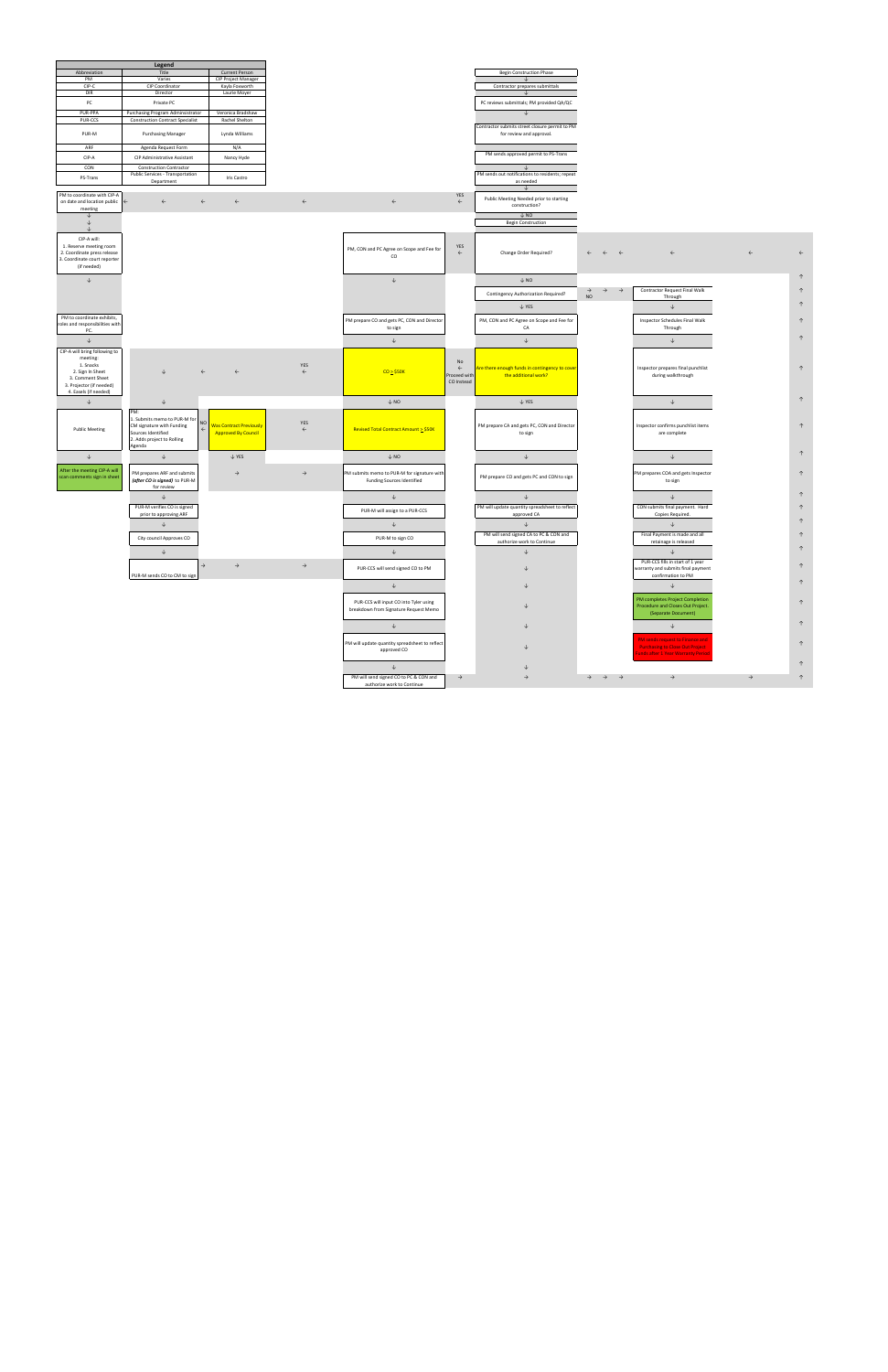|                                             | Legend                                       |                                |                     |                                                |                            |                                                 |                                                     |                                                          |               |              |
|---------------------------------------------|----------------------------------------------|--------------------------------|---------------------|------------------------------------------------|----------------------------|-------------------------------------------------|-----------------------------------------------------|----------------------------------------------------------|---------------|--------------|
| Abbreviation                                | Title                                        | Current Person                 |                     |                                                |                            | <b>Begin Construction Phase</b>                 |                                                     |                                                          |               |              |
| PM                                          | Varies                                       | CIP Project Manager            |                     |                                                |                            |                                                 |                                                     |                                                          |               |              |
| $CIP-C$<br>DIR                              | <b>CIP Coordinator</b>                       | Kayla Foxworth                 |                     |                                                |                            | Contractor prepares submittals                  |                                                     |                                                          |               |              |
|                                             | Director                                     | Laurie Moyer                   |                     |                                                |                            |                                                 |                                                     |                                                          |               |              |
| PC                                          | Private PC                                   |                                |                     |                                                |                            | PC reviews submittals; PM provided QA/QC        |                                                     |                                                          |               |              |
| PUR-PPA                                     | Purchasing Program Adminsistrator            | Veronica Bradshaw              |                     |                                                |                            | $\downarrow$                                    |                                                     |                                                          |               |              |
| PUR-CCS                                     | <b>Construction Contract Specialist</b>      | Rachel Shelton                 |                     |                                                |                            |                                                 |                                                     |                                                          |               |              |
|                                             |                                              |                                |                     |                                                |                            | Contractor submits street closure permit to PM  |                                                     |                                                          |               |              |
| PUR-M                                       | <b>Purchasing Manager</b>                    | Lynda Williams                 |                     |                                                |                            | for review and approval.                        |                                                     |                                                          |               |              |
| ARF                                         | Agenda Request Form                          | N/A                            |                     |                                                |                            |                                                 |                                                     |                                                          |               |              |
|                                             |                                              |                                |                     |                                                |                            | PM sends approved permit to PS-Trans            |                                                     |                                                          |               |              |
| CIP-A                                       | CIP Administrative Assistant                 | Nancy Hyde                     |                     |                                                |                            |                                                 |                                                     |                                                          |               |              |
| CON                                         | <b>Construction Contractor</b>               |                                |                     |                                                |                            |                                                 |                                                     |                                                          |               |              |
| PS-Trans                                    | Public Services - Transportation             | Iris Castro                    |                     |                                                |                            | PM sends out notifications to residents; repeat |                                                     |                                                          |               |              |
|                                             | Department                                   |                                |                     |                                                |                            | as needed<br>$\downarrow$                       |                                                     |                                                          |               |              |
| PM to coordinate with CIP-A                 |                                              |                                |                     |                                                | YES                        |                                                 |                                                     |                                                          |               |              |
| on date and location public                 | $\leftarrow$<br>$\leftarrow$<br>$\leftarrow$ | $\leftarrow$                   | $\leftarrow$        | $\leftarrow$                                   | $\leftarrow$               | Public Meeting Needed prior to starting         |                                                     |                                                          |               |              |
| meeting                                     |                                              |                                |                     |                                                |                            | construction?                                   |                                                     |                                                          |               |              |
| $\downarrow$                                |                                              |                                |                     |                                                |                            | $\sqrt{NQ}$                                     |                                                     |                                                          |               |              |
| $\downarrow$                                |                                              |                                |                     |                                                |                            | <b>Begin Construction</b>                       |                                                     |                                                          |               |              |
| $\downarrow$                                |                                              |                                |                     |                                                |                            |                                                 |                                                     |                                                          |               |              |
| CIP-A will:                                 |                                              |                                |                     |                                                |                            |                                                 |                                                     |                                                          |               |              |
| 1. Reserve meeting room                     |                                              |                                |                     | PM, CON and PC Agree on Scope and Fee for      | YES                        |                                                 |                                                     |                                                          |               |              |
| 2. Coordinate press release                 |                                              |                                |                     | CO                                             | $\leftarrow$               | Change Order Required?                          | $\leftarrow$<br>$\leftrightarrow$ $\leftrightarrow$ | $\leftarrow$                                             | $\rightarrow$ | $\leftarrow$ |
| 3. Coordinate court reporter<br>(if needed) |                                              |                                |                     |                                                |                            |                                                 |                                                     |                                                          |               |              |
|                                             |                                              |                                |                     |                                                |                            |                                                 |                                                     |                                                          |               |              |
| $\downarrow$                                |                                              |                                |                     | $\downarrow$                                   |                            | $\downarrow$ NO                                 |                                                     |                                                          |               | ↑            |
|                                             |                                              |                                |                     |                                                |                            |                                                 | $\rightarrow$<br>$\rightarrow$<br>$\rightarrow$     | Contractor Request Final Walk                            |               | $\uparrow$   |
|                                             |                                              |                                |                     |                                                |                            | Contingency Authorization Required?             | $NO$                                                | Through                                                  |               |              |
|                                             |                                              |                                |                     |                                                |                            | $\downarrow$ YES                                |                                                     | $\downarrow$                                             |               | $\uparrow$   |
|                                             |                                              |                                |                     |                                                |                            |                                                 |                                                     |                                                          |               |              |
| PM to coordinate exhibits.                  |                                              |                                |                     | PM prepare CO and gets PC, CON and Director    |                            | PM, CON and PC Agree on Scope and Fee for       |                                                     | Inspector Schedules Final Walk                           |               | $\uparrow$   |
| roles and responsibilities with             |                                              |                                |                     | to sign                                        |                            | CA                                              |                                                     | Through                                                  |               |              |
| PC.                                         |                                              |                                |                     |                                                |                            |                                                 |                                                     |                                                          |               |              |
| $\downarrow$                                |                                              |                                |                     | $\downarrow$                                   |                            | $\downarrow$                                    |                                                     | $\downarrow$                                             |               | $\uparrow$   |
| CIP-A will bring following to               |                                              |                                |                     |                                                |                            |                                                 |                                                     |                                                          |               |              |
| meeting:                                    |                                              |                                |                     |                                                |                            |                                                 |                                                     |                                                          |               |              |
| 1. Snacks                                   |                                              |                                | YES                 |                                                | No                         |                                                 |                                                     |                                                          |               |              |
| 2. Sign In Sheet                            | $\leftarrow$                                 | $\leftarrow$                   | $\leftarrow$        | $CO \geq$ \$50K                                | $\leftarrow$               | Are there enough funds in contingency to cover  |                                                     | Inspector prepares final punchlist<br>during walkthrough |               | $\uparrow$   |
| 3. Comment Sheet                            |                                              |                                |                     |                                                | Proceed with<br>CO Instead | the additional work?                            |                                                     |                                                          |               |              |
| 3. Projector (if needed)                    |                                              |                                |                     |                                                |                            |                                                 |                                                     |                                                          |               |              |
| 4. Easels (if needed)                       |                                              |                                |                     |                                                |                            |                                                 |                                                     |                                                          |               | $\uparrow$   |
| $\downarrow$                                | ↓                                            |                                |                     | $\downarrow$ NO                                |                            | $\downarrow$ YES                                |                                                     | $\downarrow$                                             |               |              |
|                                             | PM:                                          |                                |                     |                                                |                            |                                                 |                                                     |                                                          |               |              |
|                                             | 1. Submits memo to PUR-M for                 |                                |                     |                                                |                            |                                                 |                                                     |                                                          |               |              |
| <b>Public Meeting</b>                       | CM signature with Funding                    | <b>Was Contract Previously</b> | YES<br>$\leftarrow$ | Revised Total Contract Amount > \$50K          |                            | PM prepare CA and gets PC, CON and Director     |                                                     | Inspector confirms punchlist items                       |               | $\uparrow$   |
|                                             | Sources Identified                           | <b>Approved By Council</b>     |                     |                                                |                            | to sign                                         |                                                     | are complete                                             |               |              |
|                                             | 2. Adds project to Rolling                   |                                |                     |                                                |                            |                                                 |                                                     |                                                          |               |              |
|                                             | Agenda                                       |                                |                     |                                                |                            |                                                 |                                                     |                                                          |               |              |
| $\downarrow$                                | $\downarrow$                                 | $\downarrow$ YES               |                     | $\downarrow$ NO                                |                            | $\downarrow$                                    |                                                     | $\downarrow$                                             |               | $\uparrow$   |
|                                             |                                              |                                |                     |                                                |                            |                                                 |                                                     |                                                          |               |              |
| After the meeting CIP-A will                | PM prepares ARF and submits                  | $\rightarrow$                  | $\rightarrow$       | PM submits memo to PUR-M for signature with    |                            |                                                 |                                                     | PM prepares COA and gets Inspector                       |               | $\uparrow$   |
| scan comments sign in sheet                 | (after CO is signed) to PUR-M                |                                |                     | <b>Funding Sources Identified</b>              |                            | PM prepare CO and gets PC and CON to sign       |                                                     | to sign                                                  |               |              |
|                                             | for review                                   |                                |                     |                                                |                            |                                                 |                                                     |                                                          |               |              |
|                                             | $\downarrow$                                 |                                |                     | $\downarrow$                                   |                            | $\downarrow$                                    |                                                     | $\downarrow$                                             |               | $\uparrow$   |
|                                             | PUR-M verifies CO is signed                  |                                |                     |                                                |                            | PM will update quantity spreadsheet to reflect  |                                                     | CON submits final payment. Hard                          |               | $\uparrow$   |
|                                             | prior to approving ARF                       |                                |                     | PUR-M will assign to a PUR-CCS                 |                            | approved CA                                     |                                                     | Copies Required.                                         |               |              |
|                                             |                                              |                                |                     |                                                |                            |                                                 |                                                     |                                                          |               | $\uparrow$   |
|                                             | $\downarrow$                                 |                                |                     | $\downarrow$                                   |                            | $\downarrow$                                    |                                                     | $\downarrow$                                             |               |              |
|                                             | City council Approves CO                     |                                |                     | PUR-M to sign CO                               |                            | PM will send signed CA to PC & CON and          |                                                     | Final Payment is made and all                            |               | $\uparrow$   |
|                                             |                                              |                                |                     |                                                |                            | authorize work to Continue                      |                                                     | retainage is released                                    |               |              |
|                                             | $\downarrow$                                 |                                |                     | $\downarrow$                                   |                            | $\downarrow$                                    |                                                     | $\downarrow$                                             |               | $\uparrow$   |
|                                             |                                              |                                |                     |                                                |                            |                                                 |                                                     | PUR-CCS fills in start of 1 year                         |               |              |
|                                             |                                              | $\rightarrow$                  |                     | PUR-CCS will send signed CO to PM              |                            | ↓                                               |                                                     | warranty and submits final payment                       |               |              |
|                                             | PUR-M sends CO to CM to sign                 |                                |                     |                                                |                            |                                                 |                                                     | confirmation to PM                                       |               |              |
|                                             |                                              |                                |                     | $\downarrow$                                   |                            | $\overline{d}$                                  |                                                     | $\downarrow$                                             |               | $\uparrow$   |
|                                             |                                              |                                |                     |                                                |                            |                                                 |                                                     |                                                          |               |              |
|                                             |                                              |                                |                     |                                                |                            |                                                 |                                                     | PM completes Project Completion                          |               |              |
|                                             |                                              |                                |                     | PUR-CCS will input CO into Tyler using         |                            | ↓                                               |                                                     | Procedure and Closes Out Project.                        |               | $\uparrow$   |
|                                             |                                              |                                |                     | breakdown from Signature Request Memo          |                            |                                                 |                                                     | (Separate Document)                                      |               |              |
|                                             |                                              |                                |                     |                                                |                            |                                                 |                                                     |                                                          |               | $\uparrow$   |
|                                             |                                              |                                |                     | $\downarrow$                                   |                            | J                                               |                                                     | $\downarrow$                                             |               |              |
|                                             |                                              |                                |                     |                                                |                            |                                                 |                                                     | PM sends request to Finance and                          |               |              |
|                                             |                                              |                                |                     | PM will update quantity spreadsheet to reflect |                            |                                                 |                                                     | <b>Purchasing to Close Out Project</b>                   |               | $\uparrow$   |
|                                             |                                              |                                |                     | approved CO                                    |                            |                                                 |                                                     | unds after 1 Year Warranty Period                        |               |              |
|                                             |                                              |                                |                     |                                                |                            |                                                 |                                                     |                                                          |               |              |
|                                             |                                              |                                |                     | $\downarrow$                                   |                            |                                                 |                                                     |                                                          |               | $\uparrow$   |
|                                             |                                              |                                |                     | PM will send signed CO to PC & CON and         | $\rightarrow$              | $\rightarrow$                                   | $\rightarrow$ $\rightarrow$ $\rightarrow$           | $\rightarrow$                                            | $\rightarrow$ | $\uparrow$   |
|                                             |                                              |                                |                     | authorize work to Continue                     |                            |                                                 |                                                     |                                                          |               |              |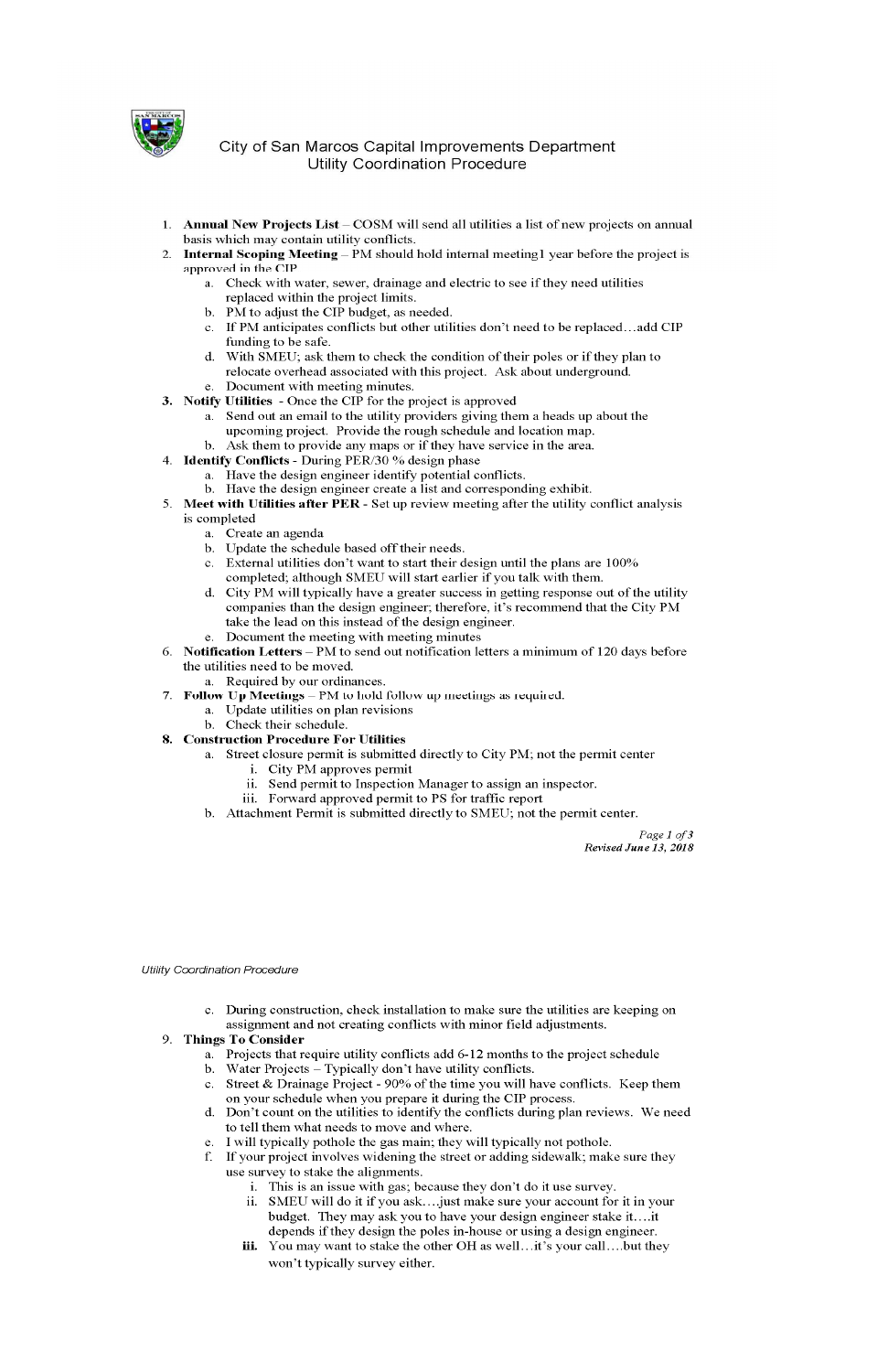

## City of San Marcos Capital Improvements Department **Utility Coordination Procedure**

- 1. Annual New Projects List COSM will send all utilities a list of new projects on annual basis which may contain utility conflicts.
- **Internal Scoping Meeting PM** should hold internal meeting1 year before the project is 2. approved in the CIP.
	- a. Check with water, sewer, drainage and electric to see if they need utilities replaced within the project limits.
	- b. PM to adjust the CIP budget, as needed.
	- c. If PM anticipates conflicts but other utilities don't need to be replaced...add CIP funding to be safe.
	- d. With SMEU; ask them to check the condition of their poles or if they plan to relocate overhead associated with this project. Ask about underground.
	- e. Document with meeting minutes.
- 3. Notify Utilities Once the CIP for the project is approved
	- a. Send out an email to the utility providers giving them a heads up about the upcoming project. Provide the rough schedule and location map. b. Ask them to provide any maps or if they have service in the area.
- 4. Identify Conflicts During PER/30 % design phase
	- a. Have the design engineer identify potential conflicts.
	- b. Have the design engineer create a list and corresponding exhibit.
- 5. Meet with Utilities after PER Set up review meeting after the utility conflict analysis is completed
	- a. Create an agenda
	- b. Update the schedule based off their needs.
	- c. External utilities don't want to start their design until the plans are 100% completed; although SMEU will start earlier if you talk with them.
	- d. City PM will typically have a greater success in getting response out of the utility companies than the design engineer; therefore, it's recommend that the City PM take the lead on this instead of the design engineer.
	- e. Document the meeting with meeting minutes
- 6. Notification Letters PM to send out notification letters a minimum of 120 days before the utilities need to be moved.
	- a. Required by our ordinances.
- 7. Follow Up Meetings PM to hold follow up meetings as required.
	- a. Update utilities on plan revisions
		- b. Check their schedule.
- 8. Construction Procedure For Utilities
	- a. Street closure permit is submitted directly to City PM; not the permit center
		- i. City PM approves permit
		- ii. Send permit to Inspection Manager to assign an inspector.
		- iii. Forward approved permit to PS for traffic report
	- b. Attachment Permit is submitted directly to SMEU; not the permit center.

Page 1 of 3 Revised June 13, 2018

During construction, check installation to make sure the utilities are keeping on assignment and not creating conflicts with minor field adjustments.

## 9. Things To Consider

- a. Projects that require utility conflicts add 6-12 months to the project schedule
- b. Water Projects Typically don't have utility conflicts.
- c. Street & Drainage Project  $90\%$  of the time you will have conflicts. Keep them on your schedule when you prepare it during the CIP process.
- d. Don't count on the utilities to identify the conflicts during plan reviews. We need to tell them what needs to move and where.
- e. I will typically pothole the gas main; they will typically not pothole.
- f. If your project involves widening the street or adding sidewalk; make sure they use survey to stake the alignments.
	- i. This is an issue with gas; because they don't do it use survey.
	- ii. SMEU will do it if you ask.... just make sure your account for it in your budget. They may ask you to have your design engineer stake it....it depends if they design the poles in-house or using a design engineer.
	- **iii.** You may want to stake the other OH as well...t is your call....but they won't typically survey either.